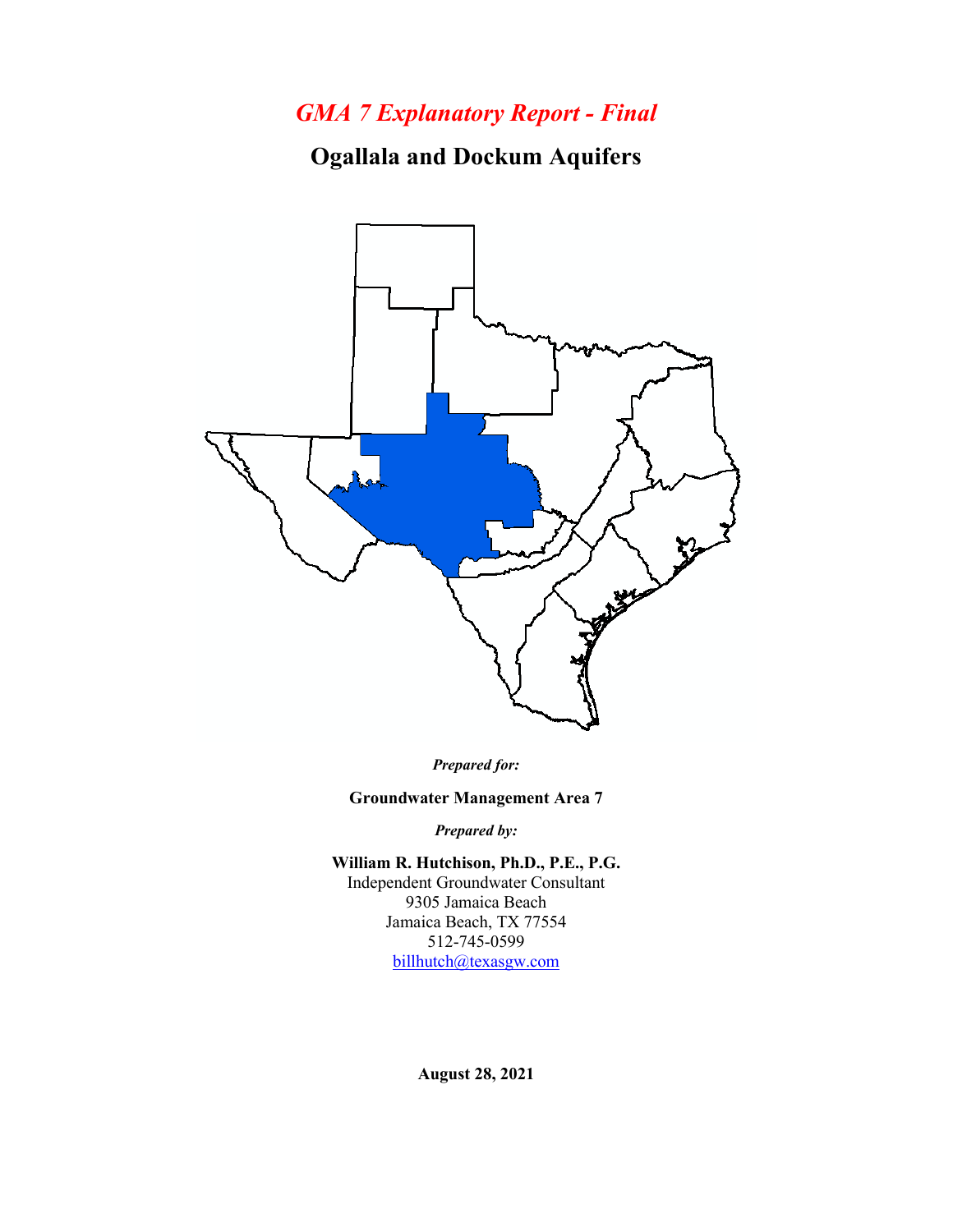## *GMA 7 Explanatory Report - Final*

**Ogallala and Dockum Aquifers**



*Prepared for:*

**Groundwater Management Area 7**

*Prepared by:*

**William R. Hutchison, Ph.D., P.E., P.G.** Independent Groundwater Consultant 9305 Jamaica Beach Jamaica Beach, TX 77554 512-745-0599 [billhutch@texasgw.com](mailto:billhutch@texasgw.com)

**August 28, 2021**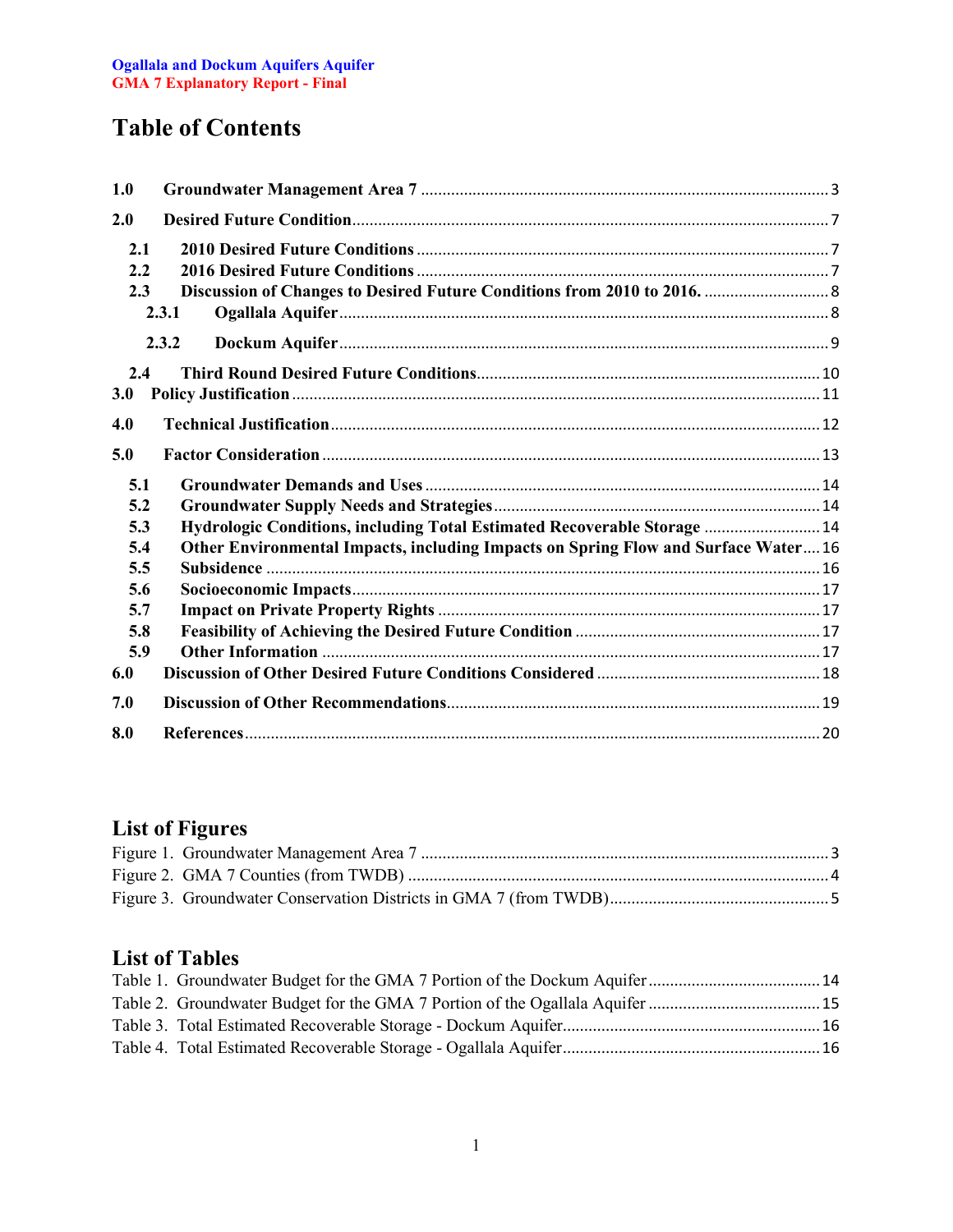# **Table of Contents**

| 1.0 |                                                                                   |
|-----|-----------------------------------------------------------------------------------|
| 2.0 |                                                                                   |
| 2.1 |                                                                                   |
| 2.2 |                                                                                   |
| 2.3 |                                                                                   |
|     | 2.3.1                                                                             |
|     | 2.3.2                                                                             |
| 2.4 |                                                                                   |
| 3.0 |                                                                                   |
| 4.0 |                                                                                   |
| 5.0 |                                                                                   |
| 5.1 |                                                                                   |
| 5.2 |                                                                                   |
| 5.3 | Hydrologic Conditions, including Total Estimated Recoverable Storage  14          |
| 5.4 | Other Environmental Impacts, including Impacts on Spring Flow and Surface Water16 |
| 5.5 |                                                                                   |
| 5.6 |                                                                                   |
| 5.7 |                                                                                   |
| 5.8 |                                                                                   |
| 5.9 |                                                                                   |
| 6.0 |                                                                                   |
| 7.0 |                                                                                   |
| 8.0 |                                                                                   |

## **List of Figures**

### **List of Tables**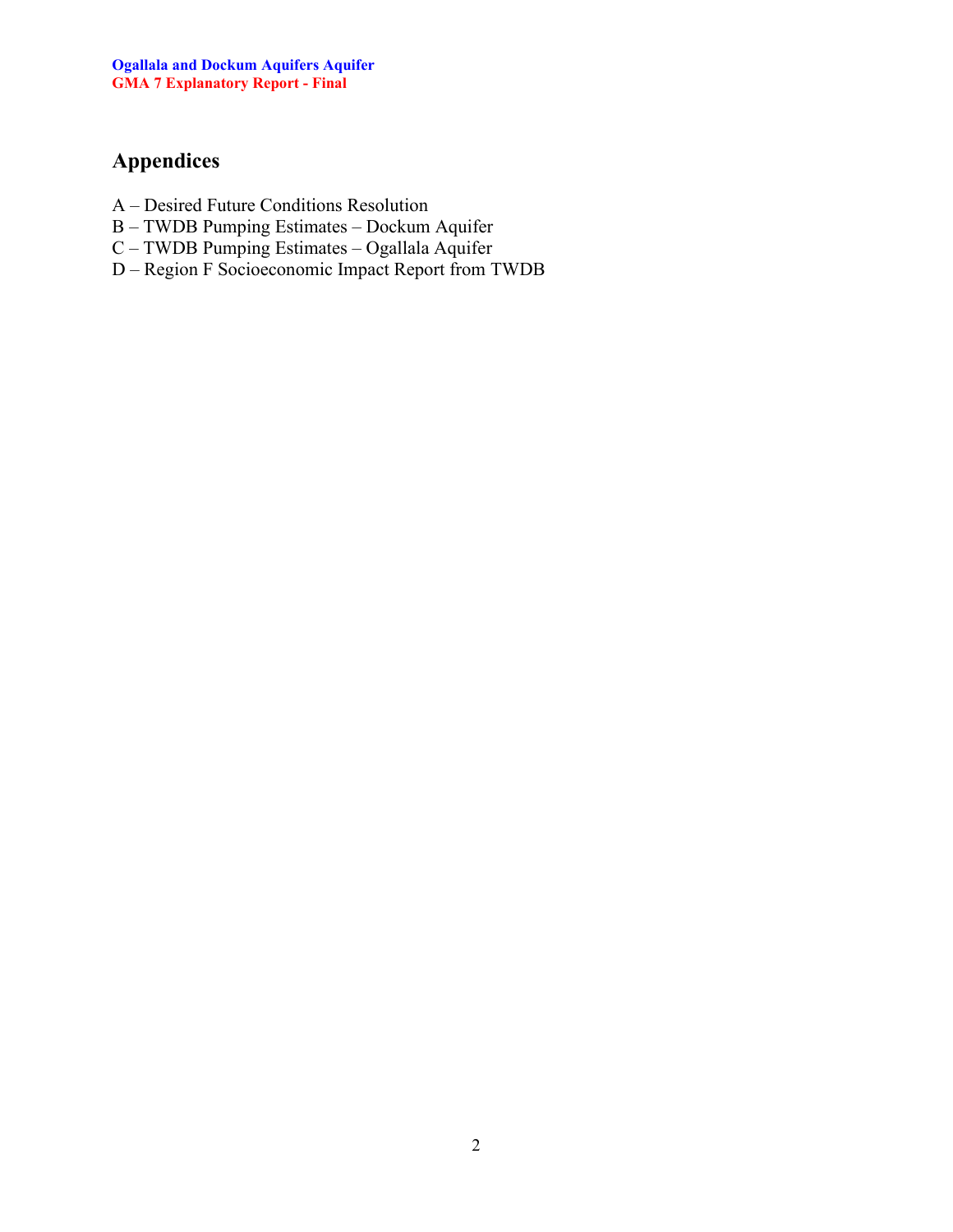## **Appendices**

- A Desired Future Conditions Resolution
- B TWDB Pumping Estimates Dockum Aquifer
- C TWDB Pumping Estimates Ogallala Aquifer
- D Region F Socioeconomic Impact Report from TWDB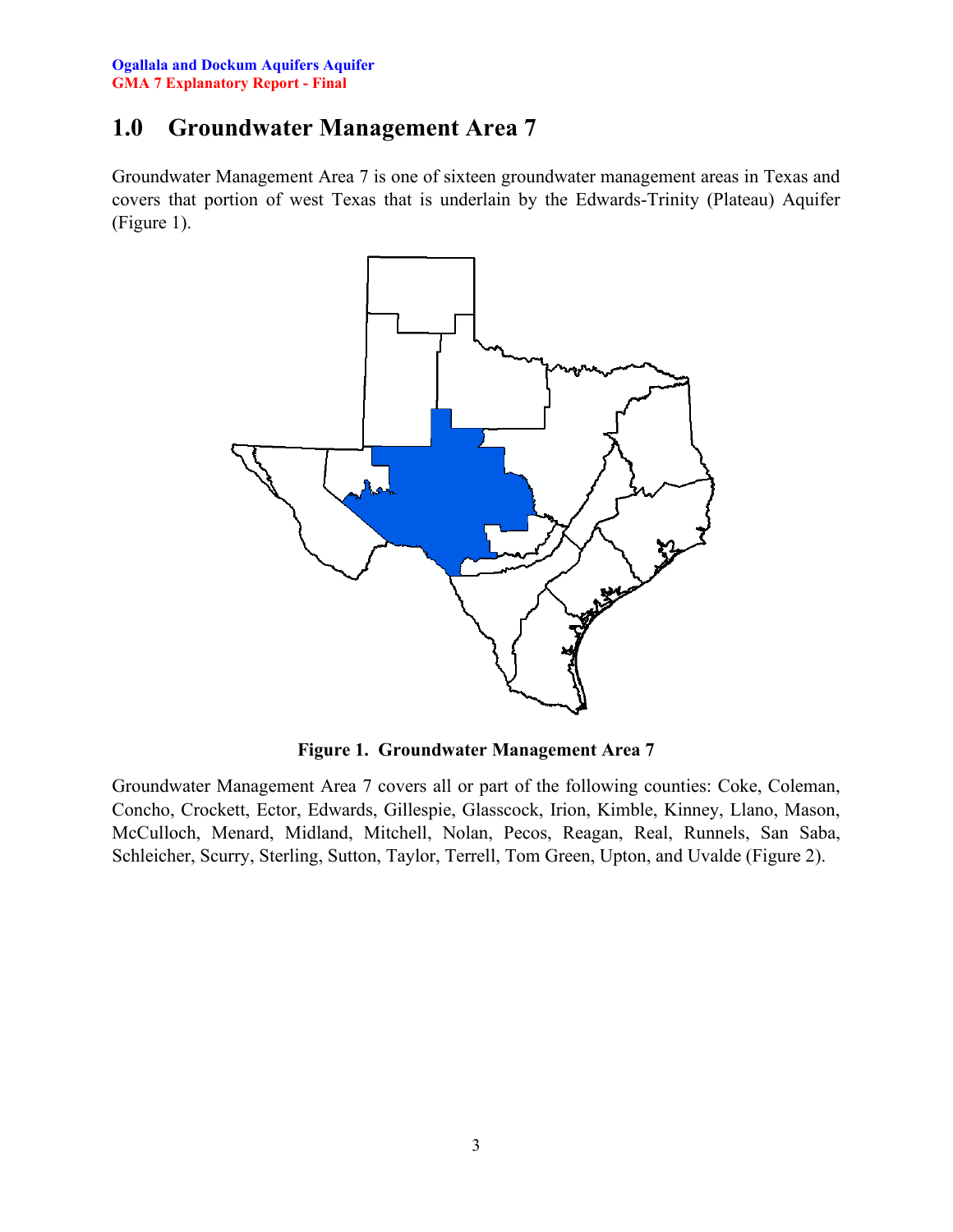### <span id="page-3-0"></span>**1.0 Groundwater Management Area 7**

Groundwater Management Area 7 is one of sixteen groundwater management areas in Texas and covers that portion of west Texas that is underlain by the Edwards-Trinity (Plateau) Aquifer (Figure 1).



**Figure 1. Groundwater Management Area 7**

<span id="page-3-1"></span>Groundwater Management Area 7 covers all or part of the following counties: Coke, Coleman, Concho, Crockett, Ector, Edwards, Gillespie, Glasscock, Irion, Kimble, Kinney, Llano, Mason, McCulloch, Menard, Midland, Mitchell, Nolan, Pecos, Reagan, Real, Runnels, San Saba, Schleicher, Scurry, Sterling, Sutton, Taylor, Terrell, Tom Green, Upton, and Uvalde (Figure 2).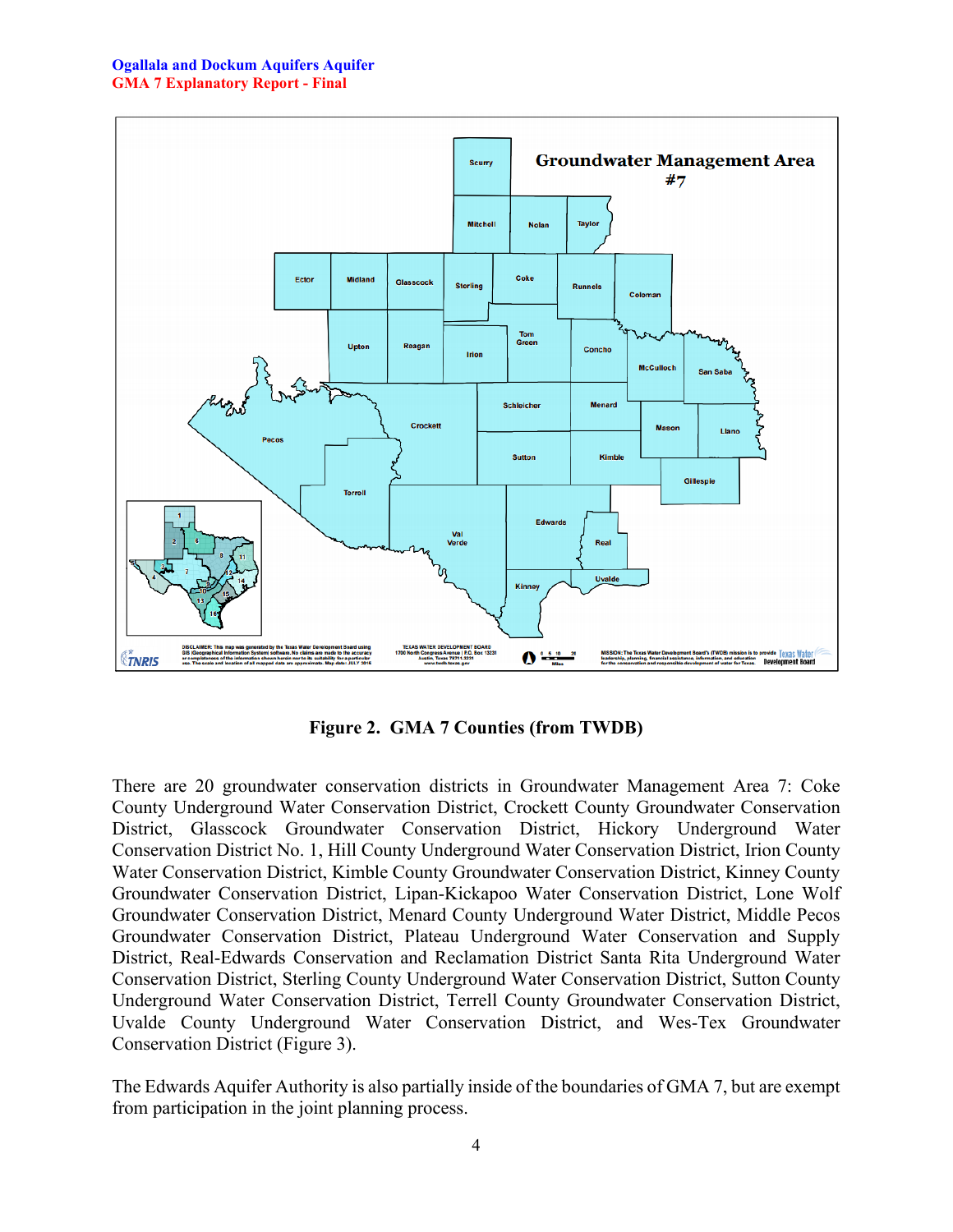

**Figure 2. GMA 7 Counties (from TWDB)**

<span id="page-4-0"></span>There are 20 groundwater conservation districts in Groundwater Management Area 7: Coke County Underground Water Conservation District, Crockett County Groundwater Conservation District, Glasscock Groundwater Conservation District, Hickory Underground Water Conservation District No. 1, Hill County Underground Water Conservation District, Irion County Water Conservation District, Kimble County Groundwater Conservation District, Kinney County Groundwater Conservation District, Lipan-Kickapoo Water Conservation District, Lone Wolf Groundwater Conservation District, Menard County Underground Water District, Middle Pecos Groundwater Conservation District, Plateau Underground Water Conservation and Supply District, Real-Edwards Conservation and Reclamation District Santa Rita Underground Water Conservation District, Sterling County Underground Water Conservation District, Sutton County Underground Water Conservation District, Terrell County Groundwater Conservation District, Uvalde County Underground Water Conservation District, and Wes-Tex Groundwater Conservation District (Figure 3).

The Edwards Aquifer Authority is also partially inside of the boundaries of GMA 7, but are exempt from participation in the joint planning process.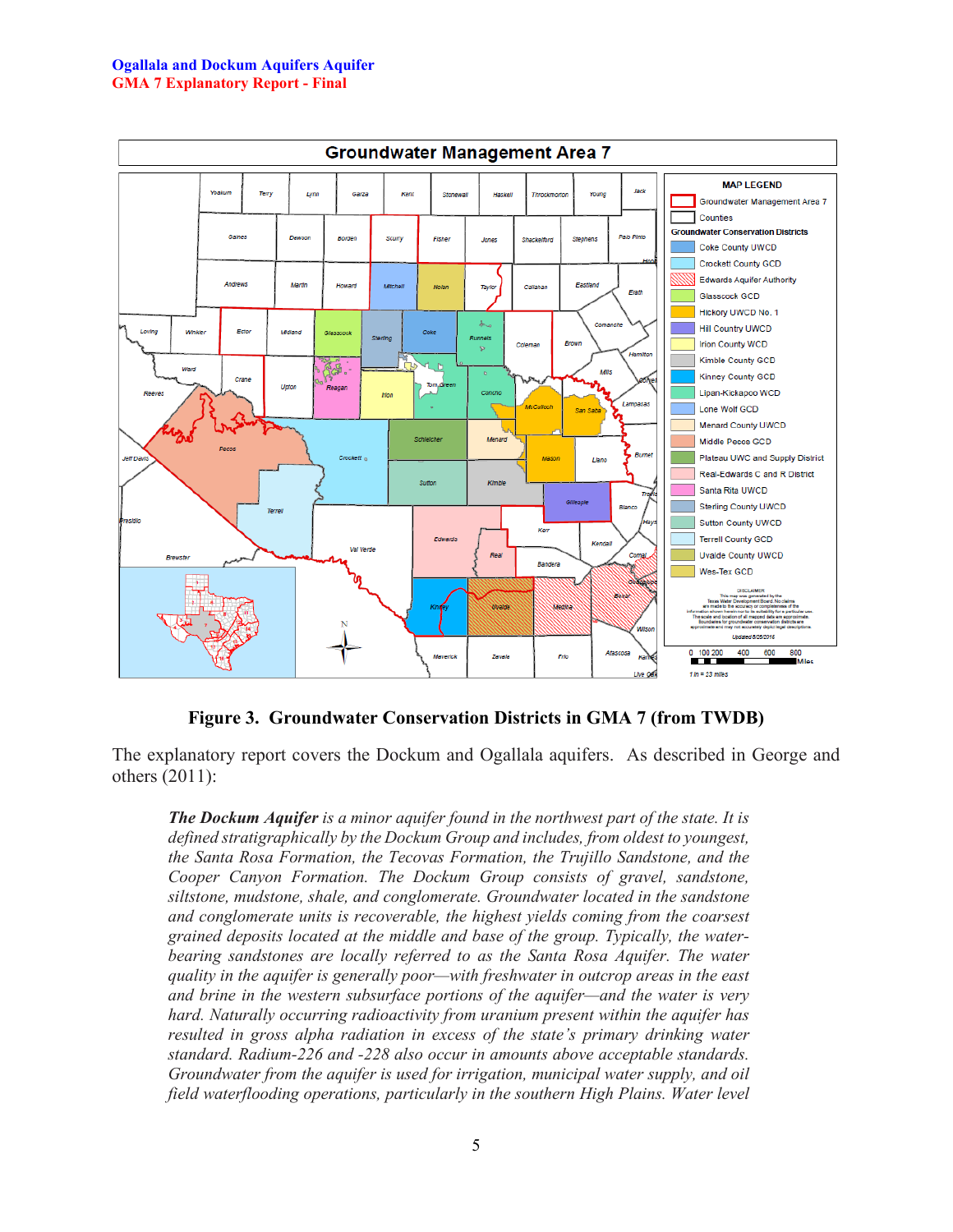#### **Ogallala and Dockum Aquifers Aquifer GMA 7 Explanatory Report - Final**



**Figure 3. Groundwater Conservation Districts in GMA 7 (from TWDB)**

<span id="page-5-0"></span>The explanatory report covers the Dockum and Ogallala aquifers. As described in George and others (2011):

*The Dockum Aquifer is a minor aquifer found in the northwest part of the state. It is defined stratigraphically by the Dockum Group and includes, from oldest to youngest, the Santa Rosa Formation, the Tecovas Formation, the Trujillo Sandstone, and the Cooper Canyon Formation. The Dockum Group consists of gravel, sandstone, siltstone, mudstone, shale, and conglomerate. Groundwater located in the sandstone and conglomerate units is recoverable, the highest yields coming from the coarsest grained deposits located at the middle and base of the group. Typically, the water*bearing sandstones are *locally referred to as the Santa Rosa Aquifer. The water quality in the aquifer is generally poor—with freshwater in outcrop areas in the east and brine in the western subsurface portions of the aquifer—and the water is very hard. Naturally occurring radioactivity from uranium present within the aquifer has resulted in gross alpha radiation in excess of the state's primary drinking water standard. Radium-226 and -228 also occur in amounts above acceptable standards. Groundwater from the aquifer is used for irrigation, municipal water supply, and oil field waterflooding operations, particularly in the southern High Plains. Water level*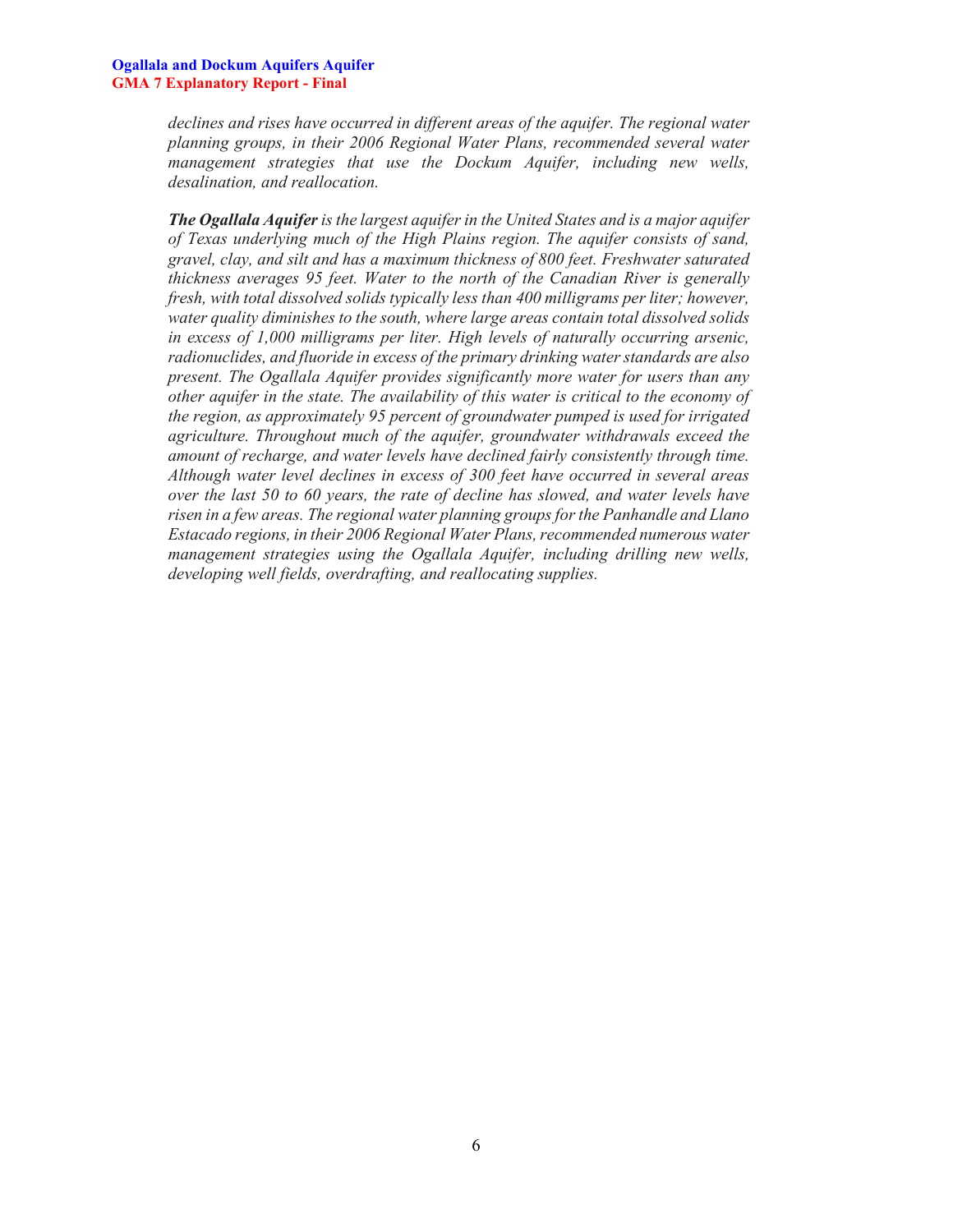*declines and rises have occurred in different areas of the aquifer. The regional water planning groups, in their 2006 Regional Water Plans, recommended several water management strategies that use the Dockum Aquifer, including new wells, desalination, and reallocation.*

*The Ogallala Aquifer is the largest aquifer in the United States and is a major aquifer of Texas underlying much of the High Plains region. The aquifer consists of sand, gravel, clay, and silt and has a maximum thickness of 800 feet. Freshwater saturated thickness averages 95 feet. Water to the north of the Canadian River is generally fresh, with total dissolved solids typically less than 400 milligrams per liter; however, water quality diminishes to the south, where large areas contain total dissolved solids in excess of 1,000 milligrams per liter. High levels of naturally occurring arsenic, radionuclides, and fluoride in excess of the primary drinking water standards are also present. The Ogallala Aquifer provides significantly more water for users than any other aquifer in the state. The availability of this water is critical to the economy of the region, as approximately 95 percent of groundwater pumped is used for irrigated agriculture. Throughout much of the aquifer, groundwater withdrawals exceed the amount of recharge, and water levels have declined fairly consistently through time. Although water level declines in excess of 300 feet have occurred in several areas over the last 50 to 60 years, the rate of decline has slowed, and water levels have risen in a few areas. The regional water planning groups for the Panhandle and Llano Estacado regions, in their 2006 Regional Water Plans, recommended numerous water management strategies using the Ogallala Aquifer, including drilling new wells, developing well fields, overdrafting, and reallocating supplies.*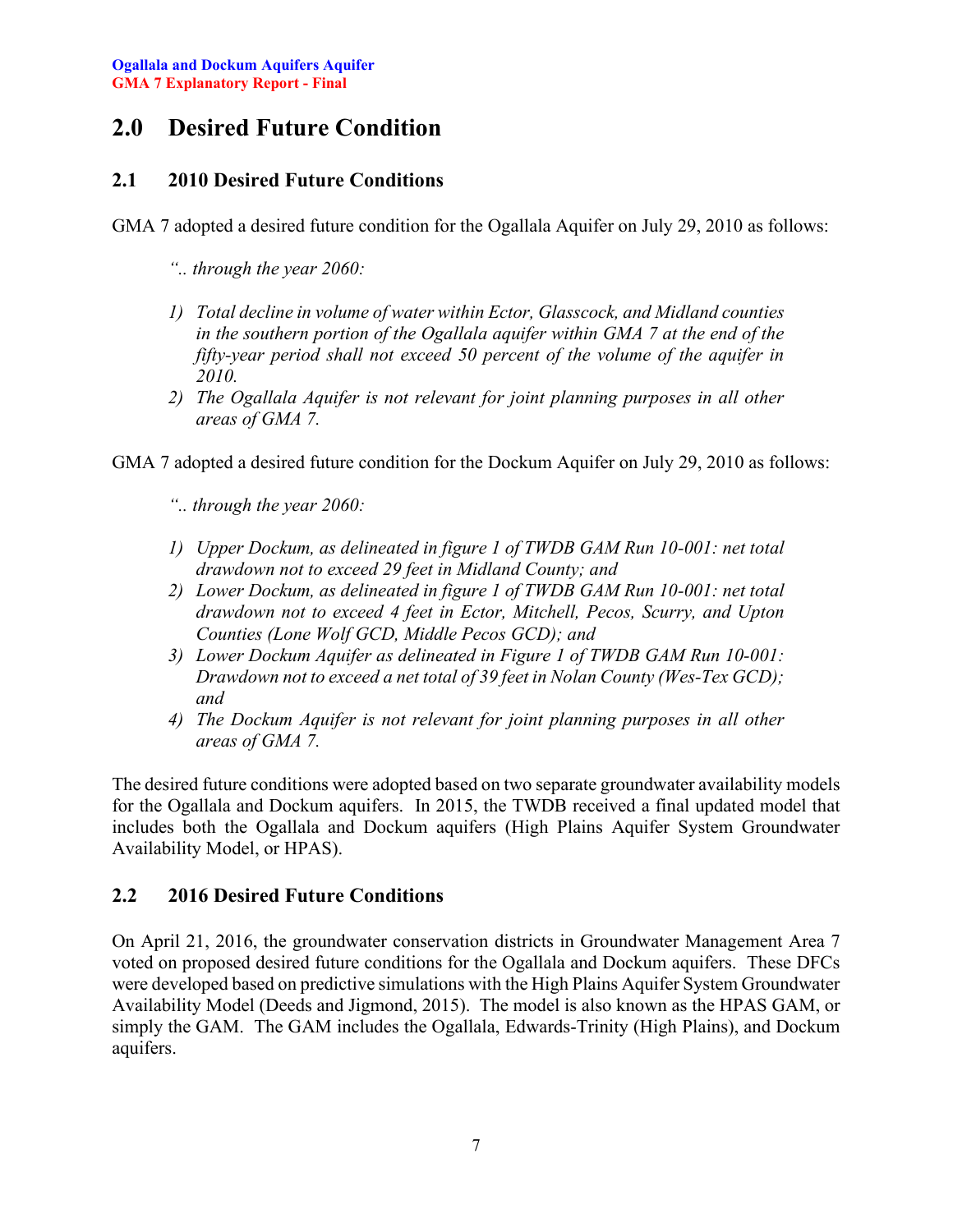### <span id="page-7-0"></span>**2.0 Desired Future Condition**

### <span id="page-7-1"></span>**2.1 2010 Desired Future Conditions**

GMA 7 adopted a desired future condition for the Ogallala Aquifer on July 29, 2010 as follows:

- *".. through the year 2060:*
- *1) Total decline in volume of water within Ector, Glasscock, and Midland counties in the southern portion of the Ogallala aquifer within GMA 7 at the end of the fifty-year period shall not exceed 50 percent of the volume of the aquifer in 2010.*
- *2) The Ogallala Aquifer is not relevant for joint planning purposes in all other areas of GMA 7.*

GMA 7 adopted a desired future condition for the Dockum Aquifer on July 29, 2010 as follows:

*".. through the year 2060:*

- *1) Upper Dockum, as delineated in figure 1 of TWDB GAM Run 10-001: net total drawdown not to exceed 29 feet in Midland County; and*
- *2) Lower Dockum, as delineated in figure 1 of TWDB GAM Run 10-001: net total drawdown not to exceed 4 feet in Ector, Mitchell, Pecos, Scurry, and Upton Counties (Lone Wolf GCD, Middle Pecos GCD); and*
- *3) Lower Dockum Aquifer as delineated in Figure 1 of TWDB GAM Run 10-001: Drawdown not to exceed a net total of 39 feet in Nolan County (Wes-Tex GCD); and*
- *4) The Dockum Aquifer is not relevant for joint planning purposes in all other areas of GMA 7.*

The desired future conditions were adopted based on two separate groundwater availability models for the Ogallala and Dockum aquifers. In 2015, the TWDB received a final updated model that includes both the Ogallala and Dockum aquifers (High Plains Aquifer System Groundwater Availability Model, or HPAS).

### <span id="page-7-2"></span>**2.2 2016 Desired Future Conditions**

On April 21, 2016, the groundwater conservation districts in Groundwater Management Area 7 voted on proposed desired future conditions for the Ogallala and Dockum aquifers. These DFCs were developed based on predictive simulations with the High Plains Aquifer System Groundwater Availability Model (Deeds and Jigmond, 2015). The model is also known as the HPAS GAM, or simply the GAM. The GAM includes the Ogallala, Edwards-Trinity (High Plains), and Dockum aquifers.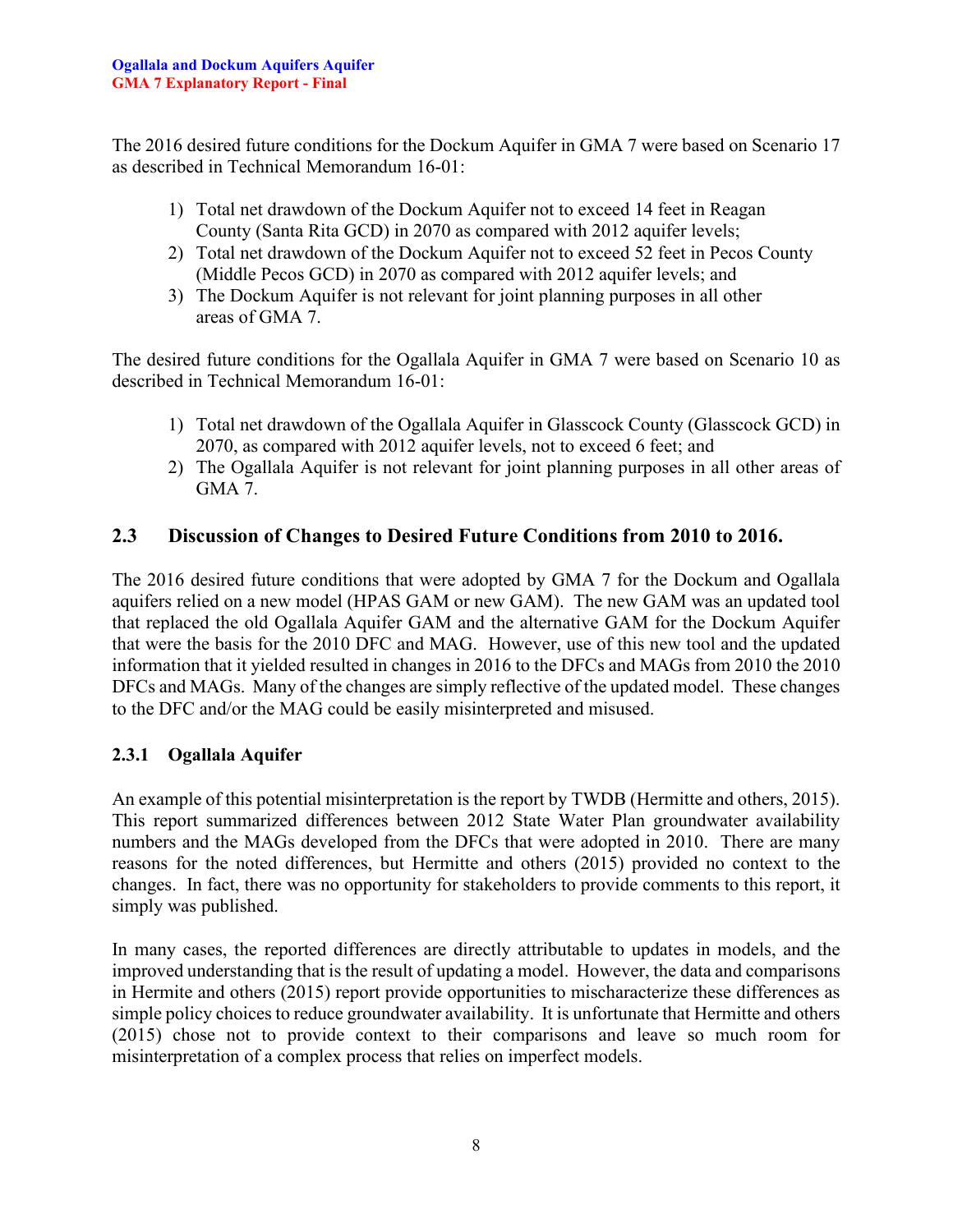The 2016 desired future conditions for the Dockum Aquifer in GMA 7 were based on Scenario 17 as described in Technical Memorandum 16-01:

- 1) Total net drawdown of the Dockum Aquifer not to exceed 14 feet in Reagan County (Santa Rita GCD) in 2070 as compared with 2012 aquifer levels;
- 2) Total net drawdown of the Dockum Aquifer not to exceed 52 feet in Pecos County (Middle Pecos GCD) in 2070 as compared with 2012 aquifer levels; and
- 3) The Dockum Aquifer is not relevant for joint planning purposes in all other areas of GMA 7.

The desired future conditions for the Ogallala Aquifer in GMA 7 were based on Scenario 10 as described in Technical Memorandum 16-01:

- 1) Total net drawdown of the Ogallala Aquifer in Glasscock County (Glasscock GCD) in 2070, as compared with 2012 aquifer levels, not to exceed 6 feet; and
- 2) The Ogallala Aquifer is not relevant for joint planning purposes in all other areas of GMA 7.

### <span id="page-8-0"></span>**2.3 Discussion of Changes to Desired Future Conditions from 2010 to 2016.**

The 2016 desired future conditions that were adopted by GMA 7 for the Dockum and Ogallala aquifers relied on a new model (HPAS GAM or new GAM). The new GAM was an updated tool that replaced the old Ogallala Aquifer GAM and the alternative GAM for the Dockum Aquifer that were the basis for the 2010 DFC and MAG. However, use of this new tool and the updated information that it yielded resulted in changes in 2016 to the DFCs and MAGs from 2010 the 2010 DFCs and MAGs. Many of the changes are simply reflective of the updated model. These changes to the DFC and/or the MAG could be easily misinterpreted and misused.

### <span id="page-8-1"></span>**2.3.1 Ogallala Aquifer**

An example of this potential misinterpretation is the report by TWDB (Hermitte and others, 2015). This report summarized differences between 2012 State Water Plan groundwater availability numbers and the MAGs developed from the DFCs that were adopted in 2010. There are many reasons for the noted differences, but Hermitte and others (2015) provided no context to the changes. In fact, there was no opportunity for stakeholders to provide comments to this report, it simply was published.

In many cases, the reported differences are directly attributable to updates in models, and the improved understanding that is the result of updating a model. However, the data and comparisons in Hermite and others (2015) report provide opportunities to mischaracterize these differences as simple policy choices to reduce groundwater availability. It is unfortunate that Hermitte and others (2015) chose not to provide context to their comparisons and leave so much room for misinterpretation of a complex process that relies on imperfect models.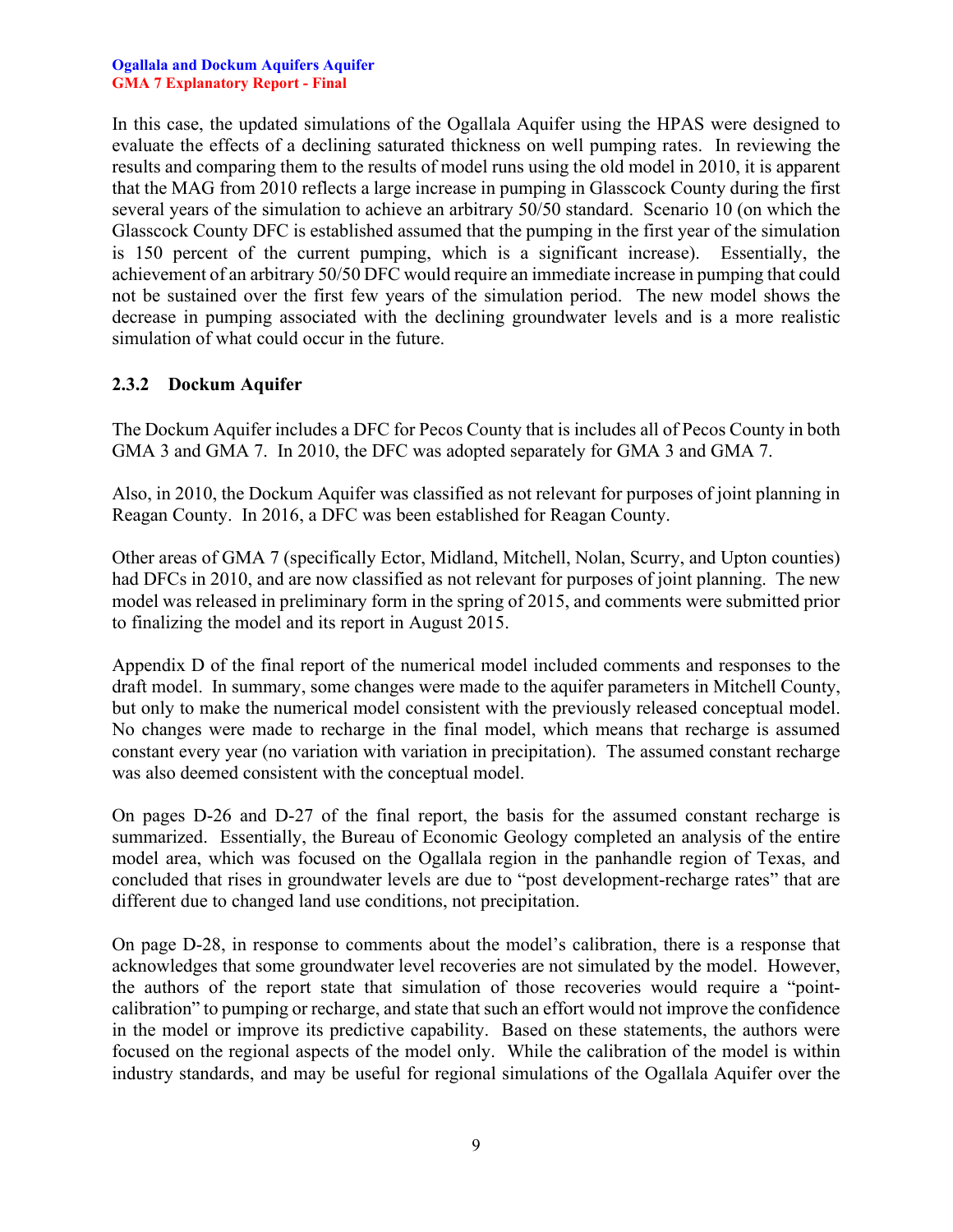#### **Ogallala and Dockum Aquifers Aquifer GMA 7 Explanatory Report - Final**

In this case, the updated simulations of the Ogallala Aquifer using the HPAS were designed to evaluate the effects of a declining saturated thickness on well pumping rates. In reviewing the results and comparing them to the results of model runs using the old model in 2010, it is apparent that the MAG from 2010 reflects a large increase in pumping in Glasscock County during the first several years of the simulation to achieve an arbitrary 50/50 standard. Scenario 10 (on which the Glasscock County DFC is established assumed that the pumping in the first year of the simulation is 150 percent of the current pumping, which is a significant increase). Essentially, the achievement of an arbitrary 50/50 DFC would require an immediate increase in pumping that could not be sustained over the first few years of the simulation period. The new model shows the decrease in pumping associated with the declining groundwater levels and is a more realistic simulation of what could occur in the future.

#### <span id="page-9-0"></span>**2.3.2 Dockum Aquifer**

The Dockum Aquifer includes a DFC for Pecos County that is includes all of Pecos County in both GMA 3 and GMA 7. In 2010, the DFC was adopted separately for GMA 3 and GMA 7.

Also, in 2010, the Dockum Aquifer was classified as not relevant for purposes of joint planning in Reagan County. In 2016, a DFC was been established for Reagan County.

Other areas of GMA 7 (specifically Ector, Midland, Mitchell, Nolan, Scurry, and Upton counties) had DFCs in 2010, and are now classified as not relevant for purposes of joint planning. The new model was released in preliminary form in the spring of 2015, and comments were submitted prior to finalizing the model and its report in August 2015.

Appendix D of the final report of the numerical model included comments and responses to the draft model. In summary, some changes were made to the aquifer parameters in Mitchell County, but only to make the numerical model consistent with the previously released conceptual model. No changes were made to recharge in the final model, which means that recharge is assumed constant every year (no variation with variation in precipitation). The assumed constant recharge was also deemed consistent with the conceptual model.

On pages D-26 and D-27 of the final report, the basis for the assumed constant recharge is summarized. Essentially, the Bureau of Economic Geology completed an analysis of the entire model area, which was focused on the Ogallala region in the panhandle region of Texas, and concluded that rises in groundwater levels are due to "post development-recharge rates" that are different due to changed land use conditions, not precipitation.

On page D-28, in response to comments about the model's calibration, there is a response that acknowledges that some groundwater level recoveries are not simulated by the model. However, the authors of the report state that simulation of those recoveries would require a "pointcalibration" to pumping or recharge, and state that such an effort would not improve the confidence in the model or improve its predictive capability. Based on these statements, the authors were focused on the regional aspects of the model only. While the calibration of the model is within industry standards, and may be useful for regional simulations of the Ogallala Aquifer over the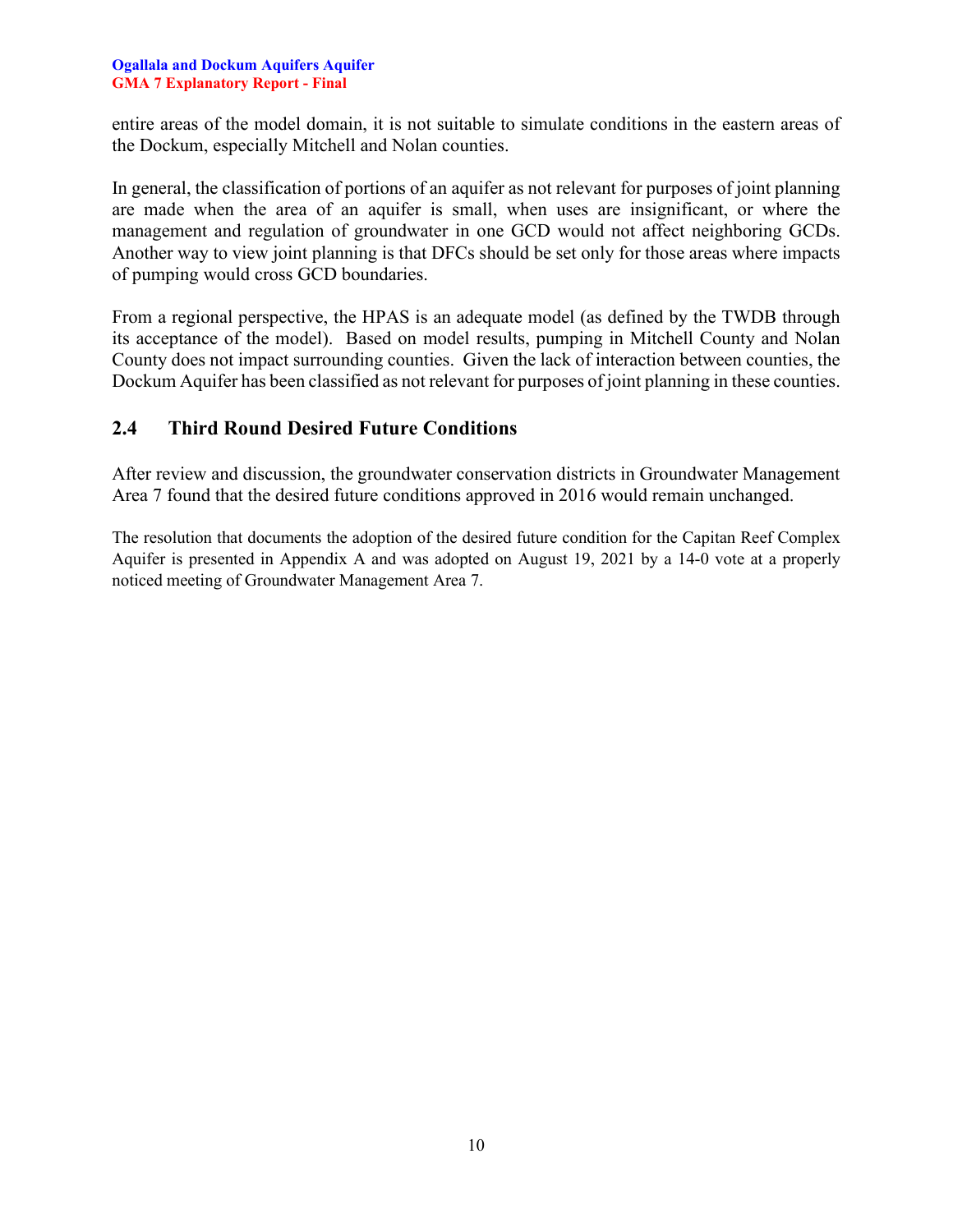#### **Ogallala and Dockum Aquifers Aquifer GMA 7 Explanatory Report - Final**

entire areas of the model domain, it is not suitable to simulate conditions in the eastern areas of the Dockum, especially Mitchell and Nolan counties.

In general, the classification of portions of an aquifer as not relevant for purposes of joint planning are made when the area of an aquifer is small, when uses are insignificant, or where the management and regulation of groundwater in one GCD would not affect neighboring GCDs. Another way to view joint planning is that DFCs should be set only for those areas where impacts of pumping would cross GCD boundaries.

From a regional perspective, the HPAS is an adequate model (as defined by the TWDB through its acceptance of the model). Based on model results, pumping in Mitchell County and Nolan County does not impact surrounding counties. Given the lack of interaction between counties, the Dockum Aquifer has been classified as not relevant for purposes of joint planning in these counties.

### <span id="page-10-0"></span>**2.4 Third Round Desired Future Conditions**

After review and discussion, the groundwater conservation districts in Groundwater Management Area 7 found that the desired future conditions approved in 2016 would remain unchanged.

The resolution that documents the adoption of the desired future condition for the Capitan Reef Complex Aquifer is presented in Appendix A and was adopted on August 19, 2021 by a 14-0 vote at a properly noticed meeting of Groundwater Management Area 7.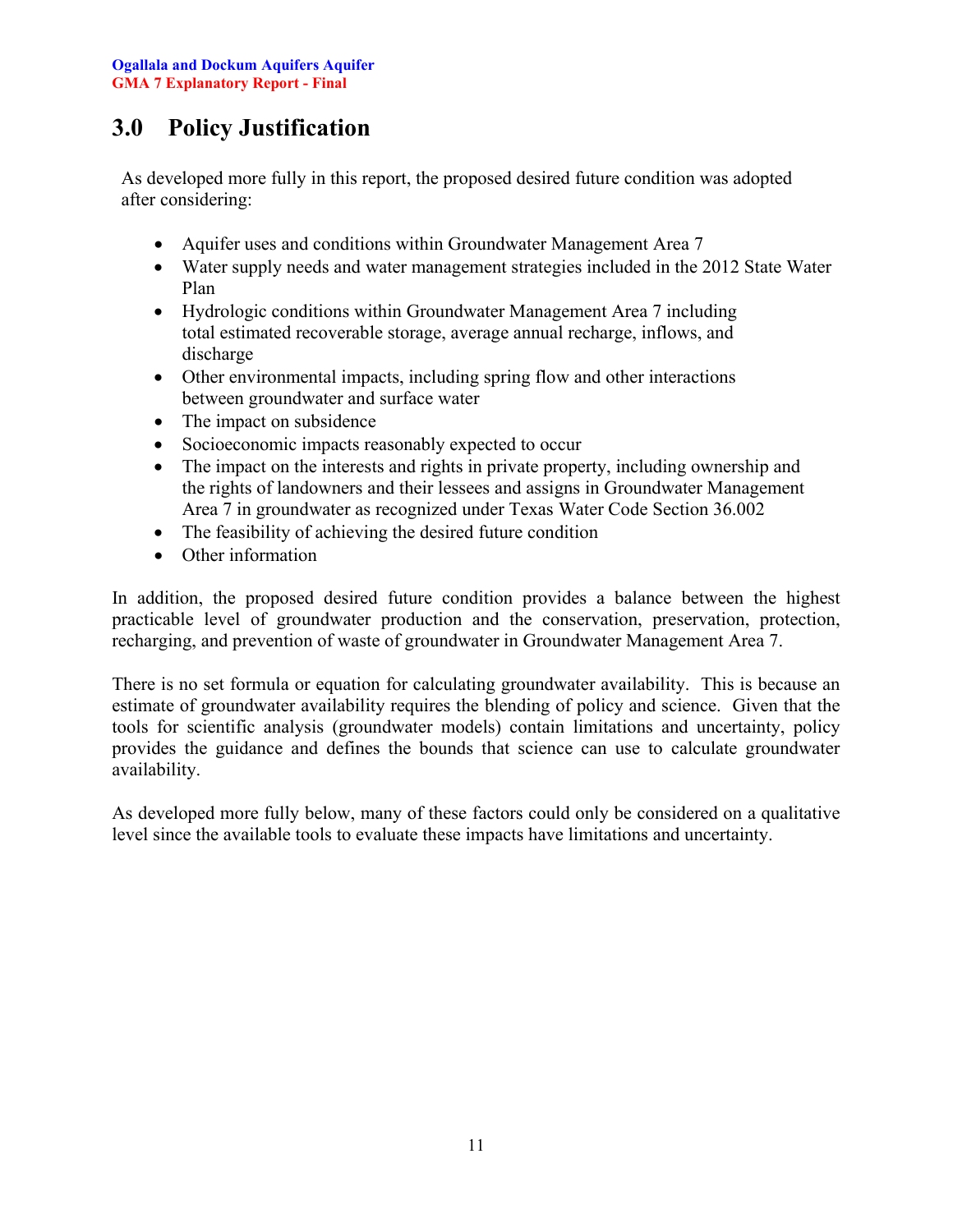## <span id="page-11-0"></span>**3.0 Policy Justification**

As developed more fully in this report, the proposed desired future condition was adopted after considering:

- Aquifer uses and conditions within Groundwater Management Area 7
- Water supply needs and water management strategies included in the 2012 State Water Plan
- Hydrologic conditions within Groundwater Management Area 7 including total estimated recoverable storage, average annual recharge, inflows, and discharge
- Other environmental impacts, including spring flow and other interactions between groundwater and surface water
- The impact on subsidence
- Socioeconomic impacts reasonably expected to occur
- The impact on the interests and rights in private property, including ownership and the rights of landowners and their lessees and assigns in Groundwater Management Area 7 in groundwater as recognized under Texas Water Code Section 36.002
- The feasibility of achieving the desired future condition
- Other information

In addition, the proposed desired future condition provides a balance between the highest practicable level of groundwater production and the conservation, preservation, protection, recharging, and prevention of waste of groundwater in Groundwater Management Area 7.

There is no set formula or equation for calculating groundwater availability. This is because an estimate of groundwater availability requires the blending of policy and science. Given that the tools for scientific analysis (groundwater models) contain limitations and uncertainty, policy provides the guidance and defines the bounds that science can use to calculate groundwater availability.

As developed more fully below, many of these factors could only be considered on a qualitative level since the available tools to evaluate these impacts have limitations and uncertainty.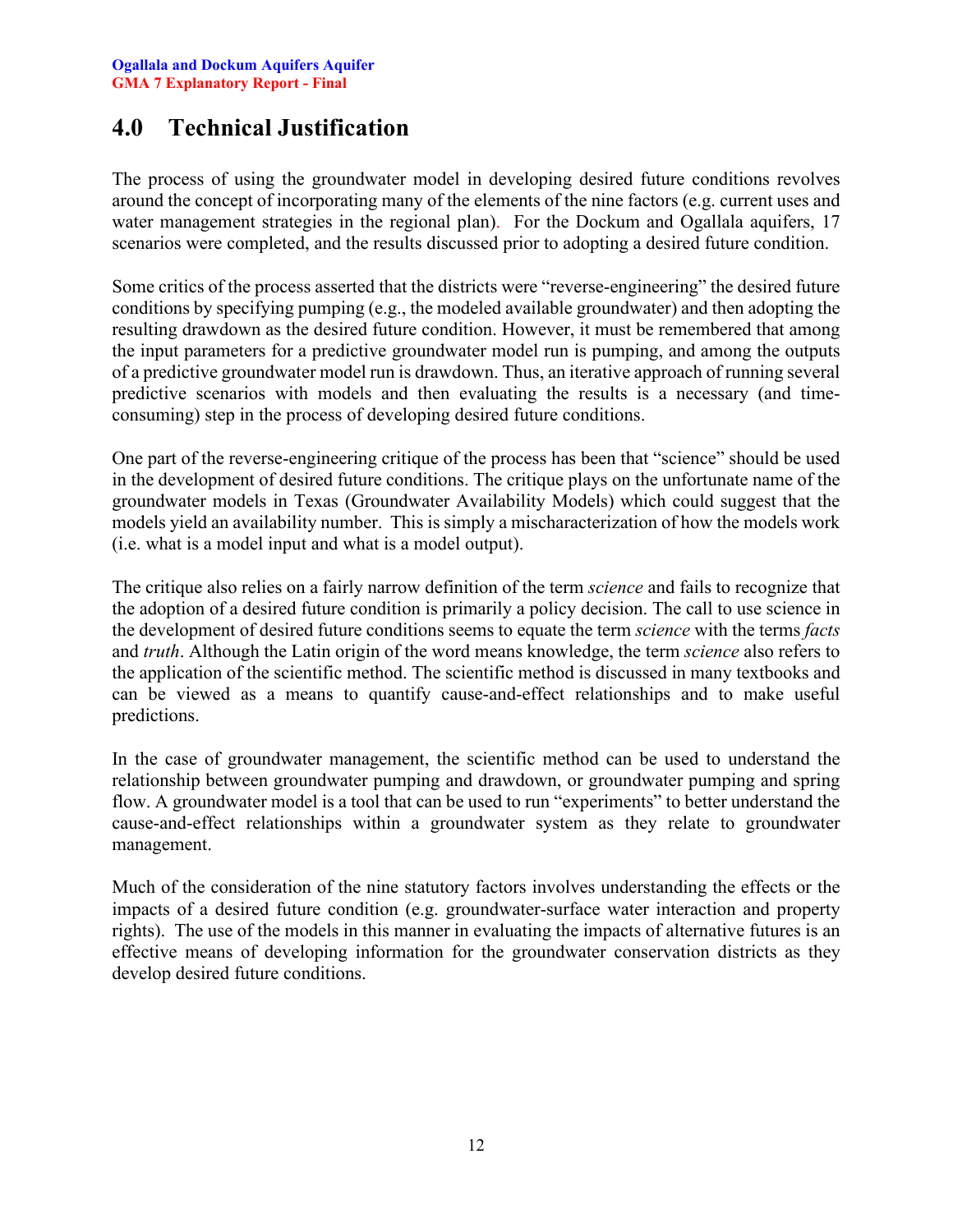### <span id="page-12-0"></span>**4.0 Technical Justification**

The process of using the groundwater model in developing desired future conditions revolves around the concept of incorporating many of the elements of the nine factors (e.g. current uses and water management strategies in the regional plan). For the Dockum and Ogallala aquifers, 17 scenarios were completed, and the results discussed prior to adopting a desired future condition.

Some critics of the process asserted that the districts were "reverse-engineering" the desired future conditions by specifying pumping (e.g., the modeled available groundwater) and then adopting the resulting drawdown as the desired future condition. However, it must be remembered that among the input parameters for a predictive groundwater model run is pumping, and among the outputs of a predictive groundwater model run is drawdown. Thus, an iterative approach of running several predictive scenarios with models and then evaluating the results is a necessary (and timeconsuming) step in the process of developing desired future conditions.

One part of the reverse-engineering critique of the process has been that "science" should be used in the development of desired future conditions. The critique plays on the unfortunate name of the groundwater models in Texas (Groundwater Availability Models) which could suggest that the models yield an availability number. This is simply a mischaracterization of how the models work (i.e. what is a model input and what is a model output).

The critique also relies on a fairly narrow definition of the term *science* and fails to recognize that the adoption of a desired future condition is primarily a policy decision. The call to use science in the development of desired future conditions seems to equate the term *science* with the terms *facts* and *truth*. Although the Latin origin of the word means knowledge, the term *science* also refers to the application of the scientific method. The scientific method is discussed in many textbooks and can be viewed as a means to quantify cause-and-effect relationships and to make useful predictions.

In the case of groundwater management, the scientific method can be used to understand the relationship between groundwater pumping and drawdown, or groundwater pumping and spring flow. A groundwater model is a tool that can be used to run "experiments" to better understand the cause-and-effect relationships within a groundwater system as they relate to groundwater management.

Much of the consideration of the nine statutory factors involves understanding the effects or the impacts of a desired future condition (e.g. groundwater-surface water interaction and property rights). The use of the models in this manner in evaluating the impacts of alternative futures is an effective means of developing information for the groundwater conservation districts as they develop desired future conditions.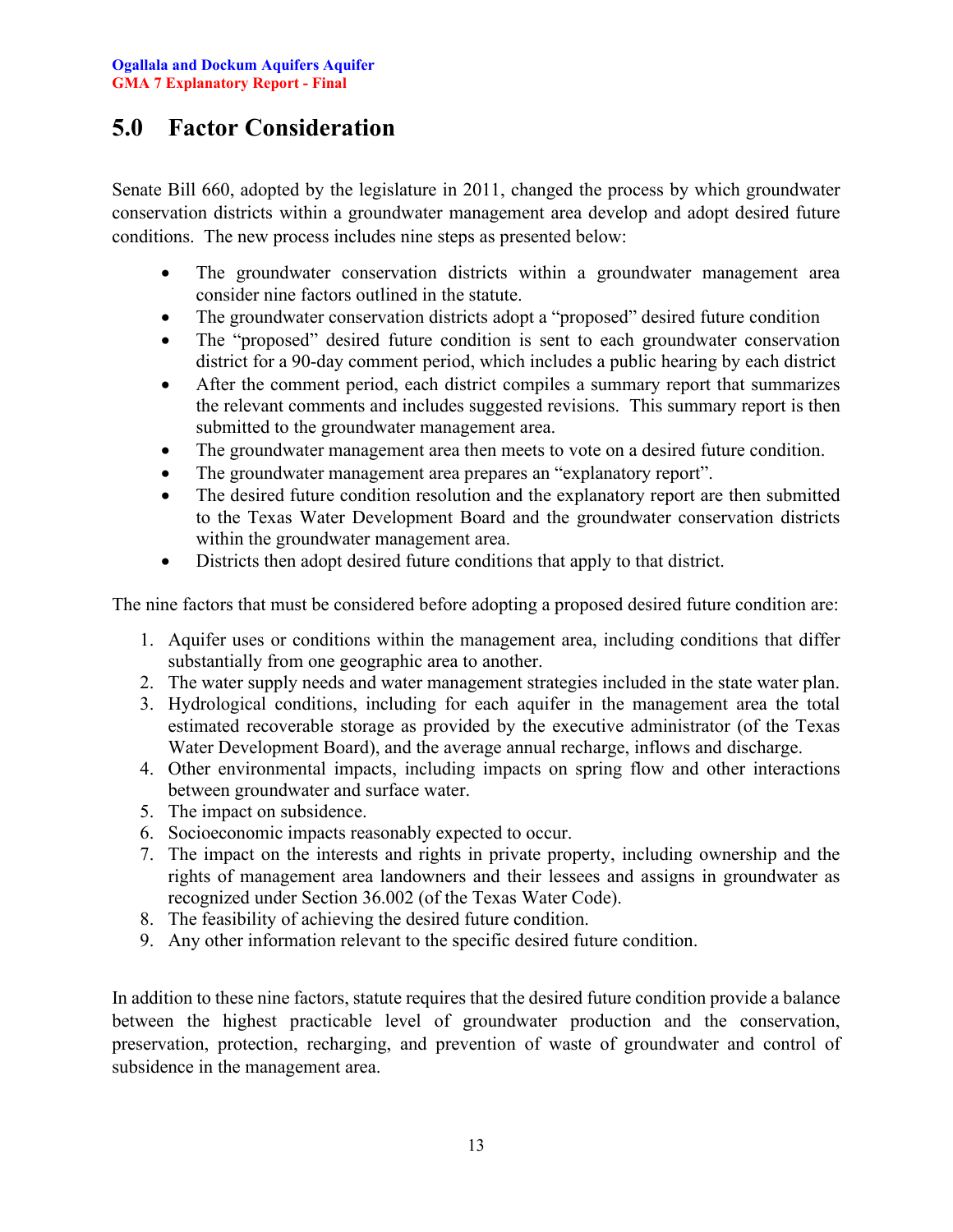## <span id="page-13-0"></span>**5.0 Factor Consideration**

Senate Bill 660, adopted by the legislature in 2011, changed the process by which groundwater conservation districts within a groundwater management area develop and adopt desired future conditions. The new process includes nine steps as presented below:

- The groundwater conservation districts within a groundwater management area consider nine factors outlined in the statute.
- The groundwater conservation districts adopt a "proposed" desired future condition
- The "proposed" desired future condition is sent to each groundwater conservation district for a 90-day comment period, which includes a public hearing by each district
- After the comment period, each district compiles a summary report that summarizes the relevant comments and includes suggested revisions. This summary report is then submitted to the groundwater management area.
- The groundwater management area then meets to vote on a desired future condition.
- The groundwater management area prepares an "explanatory report".
- The desired future condition resolution and the explanatory report are then submitted to the Texas Water Development Board and the groundwater conservation districts within the groundwater management area.
- Districts then adopt desired future conditions that apply to that district.

The nine factors that must be considered before adopting a proposed desired future condition are:

- 1. Aquifer uses or conditions within the management area, including conditions that differ substantially from one geographic area to another.
- 2. The water supply needs and water management strategies included in the state water plan.
- 3. Hydrological conditions, including for each aquifer in the management area the total estimated recoverable storage as provided by the executive administrator (of the Texas Water Development Board), and the average annual recharge, inflows and discharge.
- 4. Other environmental impacts, including impacts on spring flow and other interactions between groundwater and surface water.
- 5. The impact on subsidence.
- 6. Socioeconomic impacts reasonably expected to occur.
- 7. The impact on the interests and rights in private property, including ownership and the rights of management area landowners and their lessees and assigns in groundwater as recognized under Section 36.002 (of the Texas Water Code).
- 8. The feasibility of achieving the desired future condition.
- 9. Any other information relevant to the specific desired future condition.

In addition to these nine factors, statute requires that the desired future condition provide a balance between the highest practicable level of groundwater production and the conservation, preservation, protection, recharging, and prevention of waste of groundwater and control of subsidence in the management area.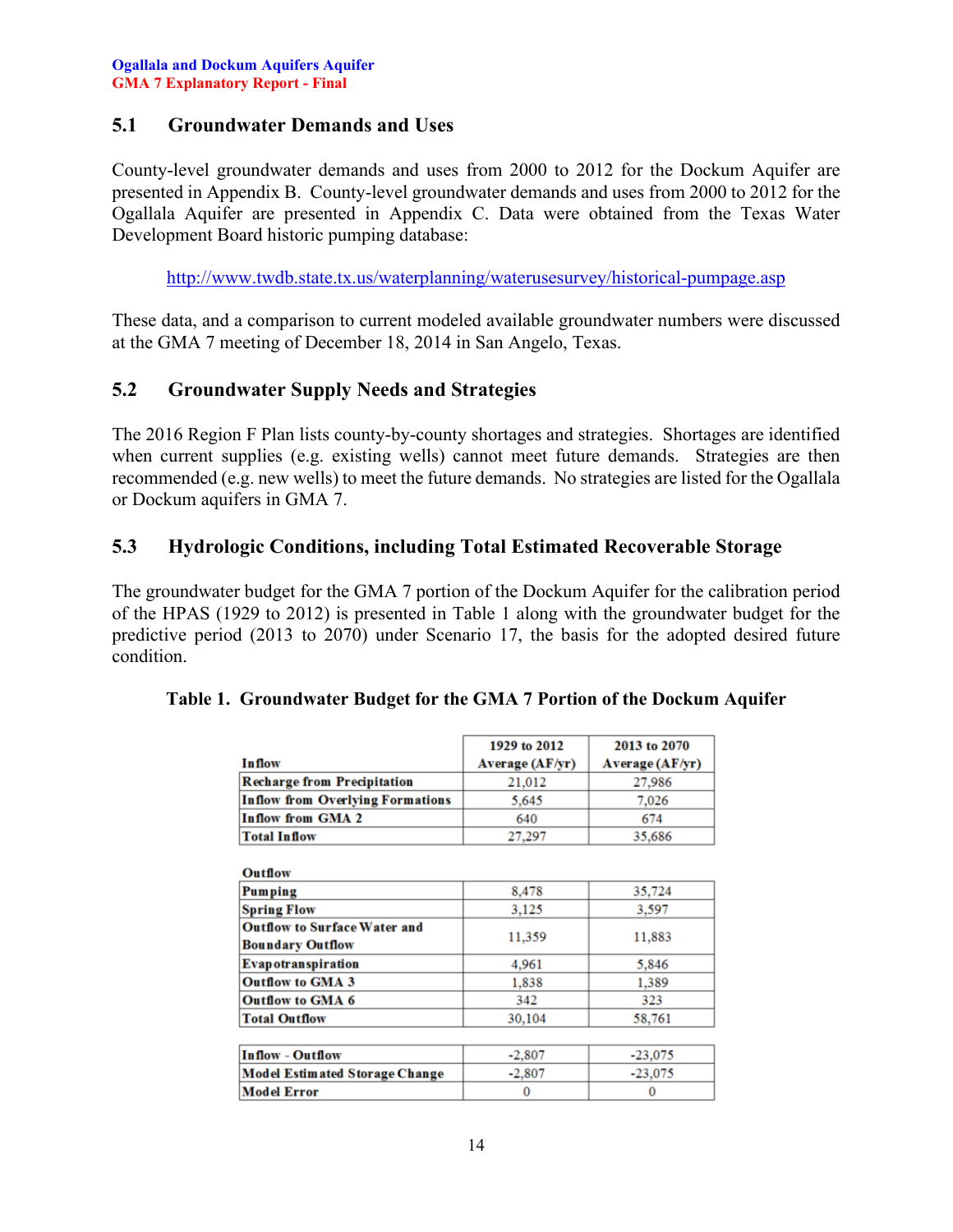### <span id="page-14-0"></span>**5.1 Groundwater Demands and Uses**

County-level groundwater demands and uses from 2000 to 2012 for the Dockum Aquifer are presented in Appendix B. County-level groundwater demands and uses from 2000 to 2012 for the Ogallala Aquifer are presented in Appendix C. Data were obtained from the Texas Water Development Board historic pumping database:

<http://www.twdb.state.tx.us/waterplanning/waterusesurvey/historical-pumpage.asp>

These data, and a comparison to current modeled available groundwater numbers were discussed at the GMA 7 meeting of December 18, 2014 in San Angelo, Texas.

### <span id="page-14-1"></span>**5.2 Groundwater Supply Needs and Strategies**

The 2016 Region F Plan lists county-by-county shortages and strategies. Shortages are identified when current supplies (e.g. existing wells) cannot meet future demands. Strategies are then recommended (e.g. new wells) to meet the future demands. No strategies are listed for the Ogallala or Dockum aquifers in GMA 7.

### <span id="page-14-2"></span>**5.3 Hydrologic Conditions, including Total Estimated Recoverable Storage**

The groundwater budget for the GMA 7 portion of the Dockum Aquifer for the calibration period of the HPAS (1929 to 2012) is presented in Table 1 along with the groundwater budget for the predictive period (2013 to 2070) under Scenario 17, the basis for the adopted desired future condition.

|                                                                | 1929 to 2012           | 2013 to 2070    |
|----------------------------------------------------------------|------------------------|-----------------|
| <b>Inflow</b>                                                  | <b>Average (AF/yr)</b> | Average (AF/yr) |
| <b>Recharge from Precipitation</b>                             | 21,012                 | 27,986          |
| <b>Inflow from Overlying Formations</b>                        | 5,645                  | 7,026           |
| <b>Inflow from GMA 2</b>                                       | 640                    | 674             |
| <b>Total Inflow</b>                                            | 27,297                 | 35,686          |
| <b>Outflow</b>                                                 |                        |                 |
| Pumping                                                        | 8,478                  | 35,724          |
| <b>Spring Flow</b>                                             | 3,125                  | 3,597           |
| <b>Outflow to Surface Water and</b><br><b>Boundary Outflow</b> | 11,359                 | 11,883          |
| Evapotranspiration                                             | 4,961                  | 5,846           |
| <b>Outflow to GMA 3</b>                                        | 1,838                  | 1,389           |
| <b>Outflow to GMA 6</b>                                        | 342                    | 323             |
| <b>Total Outflow</b>                                           | 30,104                 | 58,761          |
|                                                                |                        |                 |
| <b>Inflow - Outflow</b>                                        | $-2,807$               | $-23,075$       |
| <b>Model Estimated Storage Change</b>                          | $-2,807$               | $-23,075$       |
| <b>Model Error</b>                                             | $\Omega$               | $\Omega$        |

<span id="page-14-3"></span>

|  | Table 1. Groundwater Budget for the GMA 7 Portion of the Dockum Aquifer |  |
|--|-------------------------------------------------------------------------|--|
|  |                                                                         |  |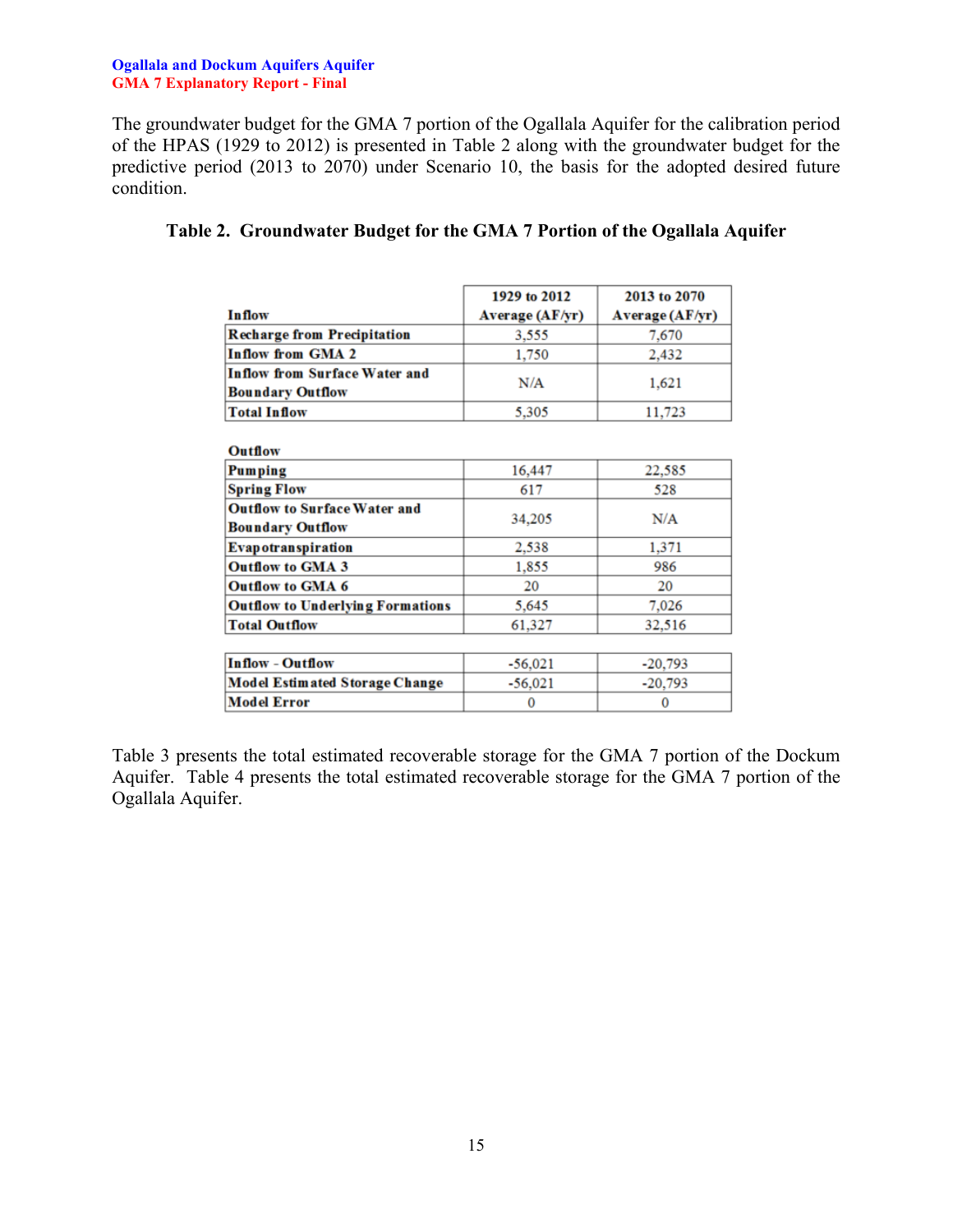#### **Ogallala and Dockum Aquifers Aquifer GMA 7 Explanatory Report - Final**

The groundwater budget for the GMA 7 portion of the Ogallala Aquifer for the calibration period of the HPAS (1929 to 2012) is presented in Table 2 along with the groundwater budget for the predictive period (2013 to 2070) under Scenario 10, the basis for the adopted desired future condition.

|                                    | 1929 to 2012    | 2013 to 2070    |
|------------------------------------|-----------------|-----------------|
| <b>Inflow</b>                      | Average (AF/yr) | Average (AF/yr) |
| <b>Recharge from Precipitation</b> | 3.555           | 7,670           |
| Inflow from GMA 2                  | 1,750           | 2,432           |
| Inflow from Surface Water and      | N/A             | 1,621           |
| <b>Boundary Outflow</b>            |                 |                 |
| <b>Total Inflow</b>                | 5,305           | 11,723          |

### <span id="page-15-0"></span>**Table 2. Groundwater Budget for the GMA 7 Portion of the Ogallala Aquifer**

| 16,447    | 22,585    |  |
|-----------|-----------|--|
| 617       | 528       |  |
|           | N/A       |  |
|           |           |  |
| 2.538     | 1,371     |  |
| 1,855     | 986       |  |
| 20        | 20        |  |
| 5,645     | 7,026     |  |
| 61,327    | 32,516    |  |
|           |           |  |
| $-56,021$ | $-20,793$ |  |
| $-56,021$ | $-20,793$ |  |
| O         | 0         |  |
|           | 34,205    |  |

Table 3 presents the total estimated recoverable storage for the GMA 7 portion of the Dockum Aquifer. Table 4 presents the total estimated recoverable storage for the GMA 7 portion of the Ogallala Aquifer.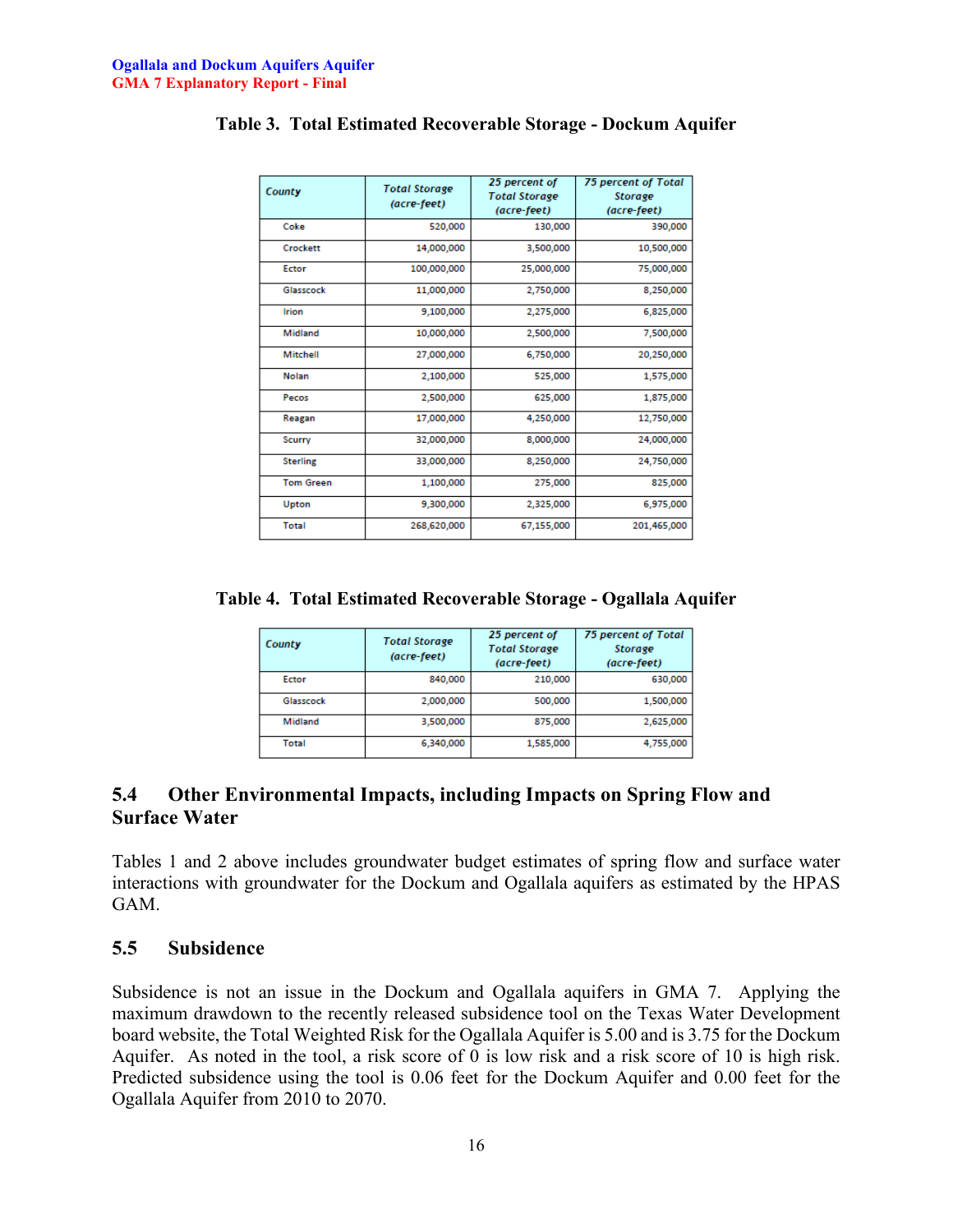| County           | <b>Total Storage</b><br>(acre-feet) | 25 percent of<br><b>Total Storage</b><br>(acre-feet) | <b>75 percent of Total</b><br><b>Storage</b><br>(acre-feet) |
|------------------|-------------------------------------|------------------------------------------------------|-------------------------------------------------------------|
| Coke             | 520,000                             | 130,000                                              | 390,000                                                     |
| Crockett         | 14,000,000                          | 3,500,000                                            | 10,500,000                                                  |
| Ector            | 100,000,000                         | 25,000,000                                           | 75,000,000                                                  |
| Glasscock        | 11,000,000                          | 2,750,000                                            | 8,250,000                                                   |
| <b>Irion</b>     | 9,100,000                           | 2,275,000                                            | 6,825,000                                                   |
| Midland          | 10,000,000                          | 2,500,000                                            | 7,500,000                                                   |
| Mitchell         | 27,000,000                          | 6,750,000                                            | 20,250,000                                                  |
| Nolan            | 2,100,000                           | 525,000                                              | 1,575,000                                                   |
| Pecos            | 2,500,000                           | 625,000                                              | 1,875,000                                                   |
| Reagan           | 17,000,000                          | 4,250,000                                            | 12,750,000                                                  |
| <b>Scurry</b>    | 32,000,000                          | 8,000,000                                            | 24,000,000                                                  |
| <b>Sterling</b>  | 33,000,000                          | 8,250,000                                            | 24,750,000                                                  |
| <b>Tom Green</b> | 1,100,000                           | 275,000                                              | 825,000                                                     |
| Upton            | 9,300,000                           | 2,325,000                                            | 6,975,000                                                   |
| Total            | 268,620,000                         | 67,155,000                                           | 201,465,000                                                 |

### <span id="page-16-2"></span>**Table 3. Total Estimated Recoverable Storage - Dockum Aquifer**

<span id="page-16-3"></span>**Table 4. Total Estimated Recoverable Storage - Ogallala Aquifer**

| County       | <b>Total Storage</b><br>(acre-feet) | 25 percent of<br><b>Total Storage</b><br>(acre-feet) | 75 percent of Total<br><b>Storage</b><br>(acre-feet) |
|--------------|-------------------------------------|------------------------------------------------------|------------------------------------------------------|
| Ector        | 840,000                             | 210,000                                              | 630,000                                              |
| Glasscock    | 2,000,000                           | 500,000                                              | 1,500,000                                            |
| Midland      | 3,500,000                           | 875,000                                              | 2,625,000                                            |
| <b>Total</b> | 6,340,000                           | 1,585,000                                            | 4,755,000                                            |

### <span id="page-16-0"></span>**5.4 Other Environmental Impacts, including Impacts on Spring Flow and Surface Water**

Tables 1 and 2 above includes groundwater budget estimates of spring flow and surface water interactions with groundwater for the Dockum and Ogallala aquifers as estimated by the HPAS GAM.

#### <span id="page-16-1"></span>**5.5 Subsidence**

Subsidence is not an issue in the Dockum and Ogallala aquifers in GMA 7. Applying the maximum drawdown to the recently released subsidence tool on the Texas Water Development board website, the Total Weighted Risk for the Ogallala Aquifer is 5.00 and is 3.75 for the Dockum Aquifer. As noted in the tool, a risk score of 0 is low risk and a risk score of 10 is high risk. Predicted subsidence using the tool is 0.06 feet for the Dockum Aquifer and 0.00 feet for the Ogallala Aquifer from 2010 to 2070.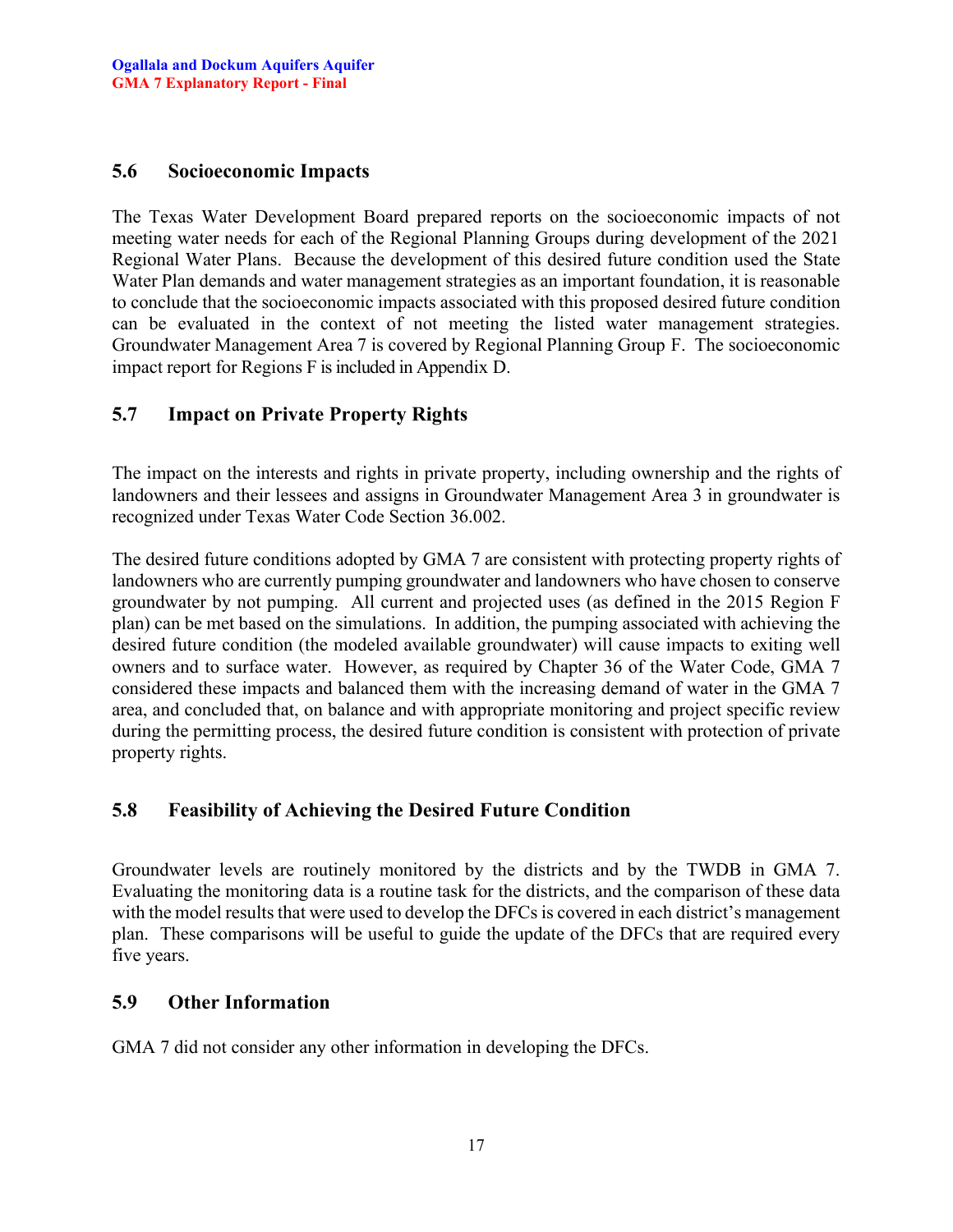#### <span id="page-17-0"></span>**5.6 Socioeconomic Impacts**

The Texas Water Development Board prepared reports on the socioeconomic impacts of not meeting water needs for each of the Regional Planning Groups during development of the 2021 Regional Water Plans. Because the development of this desired future condition used the State Water Plan demands and water management strategies as an important foundation, it is reasonable to conclude that the socioeconomic impacts associated with this proposed desired future condition can be evaluated in the context of not meeting the listed water management strategies. Groundwater Management Area 7 is covered by Regional Planning Group F. The socioeconomic impact report for Regions F is included in Appendix D.

### <span id="page-17-1"></span>**5.7 Impact on Private Property Rights**

The impact on the interests and rights in private property, including ownership and the rights of landowners and their lessees and assigns in Groundwater Management Area 3 in groundwater is recognized under Texas Water Code Section 36.002.

The desired future conditions adopted by GMA 7 are consistent with protecting property rights of landowners who are currently pumping groundwater and landowners who have chosen to conserve groundwater by not pumping. All current and projected uses (as defined in the 2015 Region F plan) can be met based on the simulations. In addition, the pumping associated with achieving the desired future condition (the modeled available groundwater) will cause impacts to exiting well owners and to surface water. However, as required by Chapter 36 of the Water Code, GMA 7 considered these impacts and balanced them with the increasing demand of water in the GMA 7 area, and concluded that, on balance and with appropriate monitoring and project specific review during the permitting process, the desired future condition is consistent with protection of private property rights.

### <span id="page-17-2"></span>**5.8 Feasibility of Achieving the Desired Future Condition**

Groundwater levels are routinely monitored by the districts and by the TWDB in GMA 7. Evaluating the monitoring data is a routine task for the districts, and the comparison of these data with the model results that were used to develop the DFCs is covered in each district's management plan. These comparisons will be useful to guide the update of the DFCs that are required every five years.

#### <span id="page-17-3"></span>**5.9 Other Information**

GMA 7 did not consider any other information in developing the DFCs.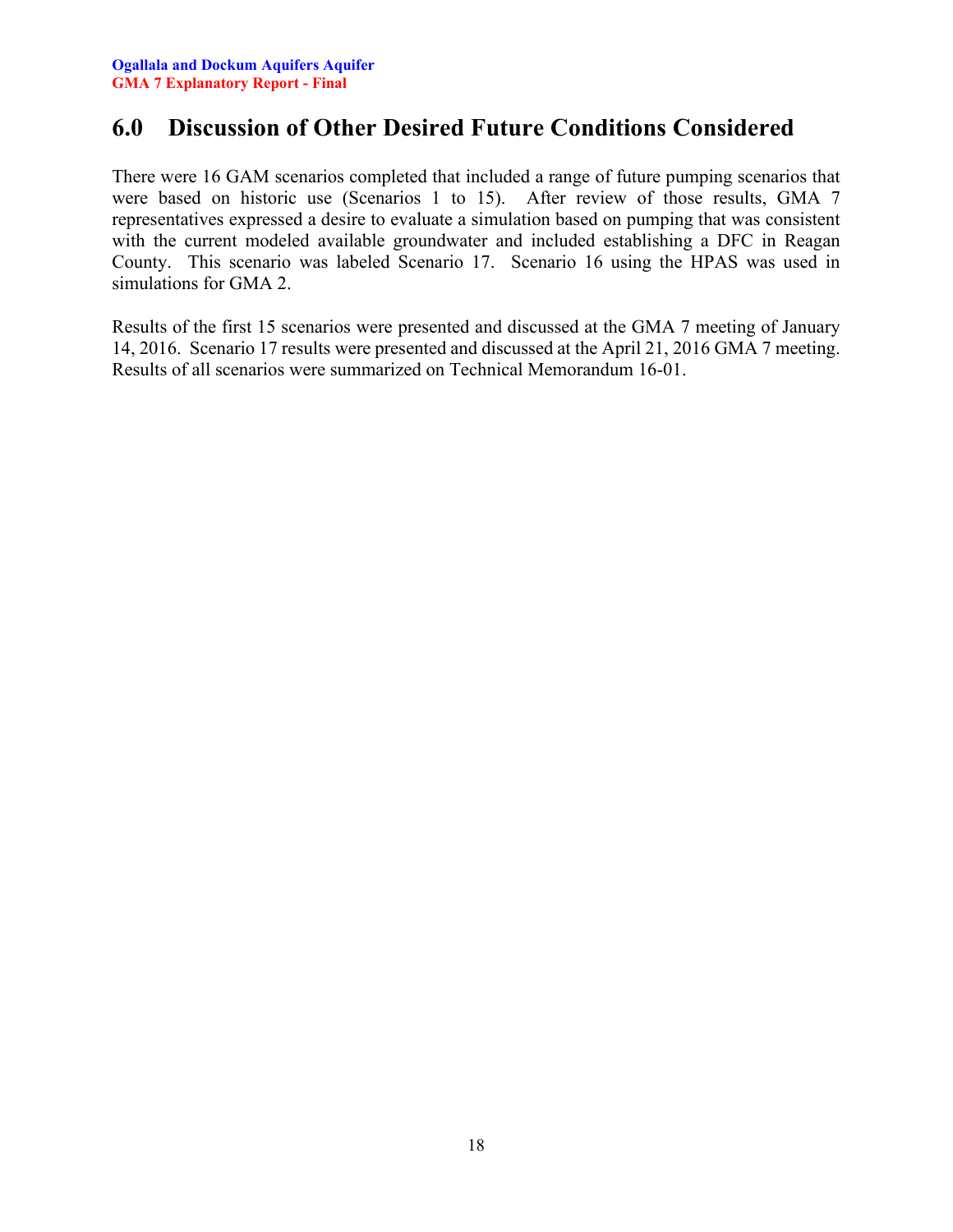### <span id="page-18-0"></span>**6.0 Discussion of Other Desired Future Conditions Considered**

There were 16 GAM scenarios completed that included a range of future pumping scenarios that were based on historic use (Scenarios 1 to 15). After review of those results, GMA 7 representatives expressed a desire to evaluate a simulation based on pumping that was consistent with the current modeled available groundwater and included establishing a DFC in Reagan County. This scenario was labeled Scenario 17. Scenario 16 using the HPAS was used in simulations for GMA 2.

Results of the first 15 scenarios were presented and discussed at the GMA 7 meeting of January 14, 2016. Scenario 17 results were presented and discussed at the April 21, 2016 GMA 7 meeting. Results of all scenarios were summarized on Technical Memorandum 16-01.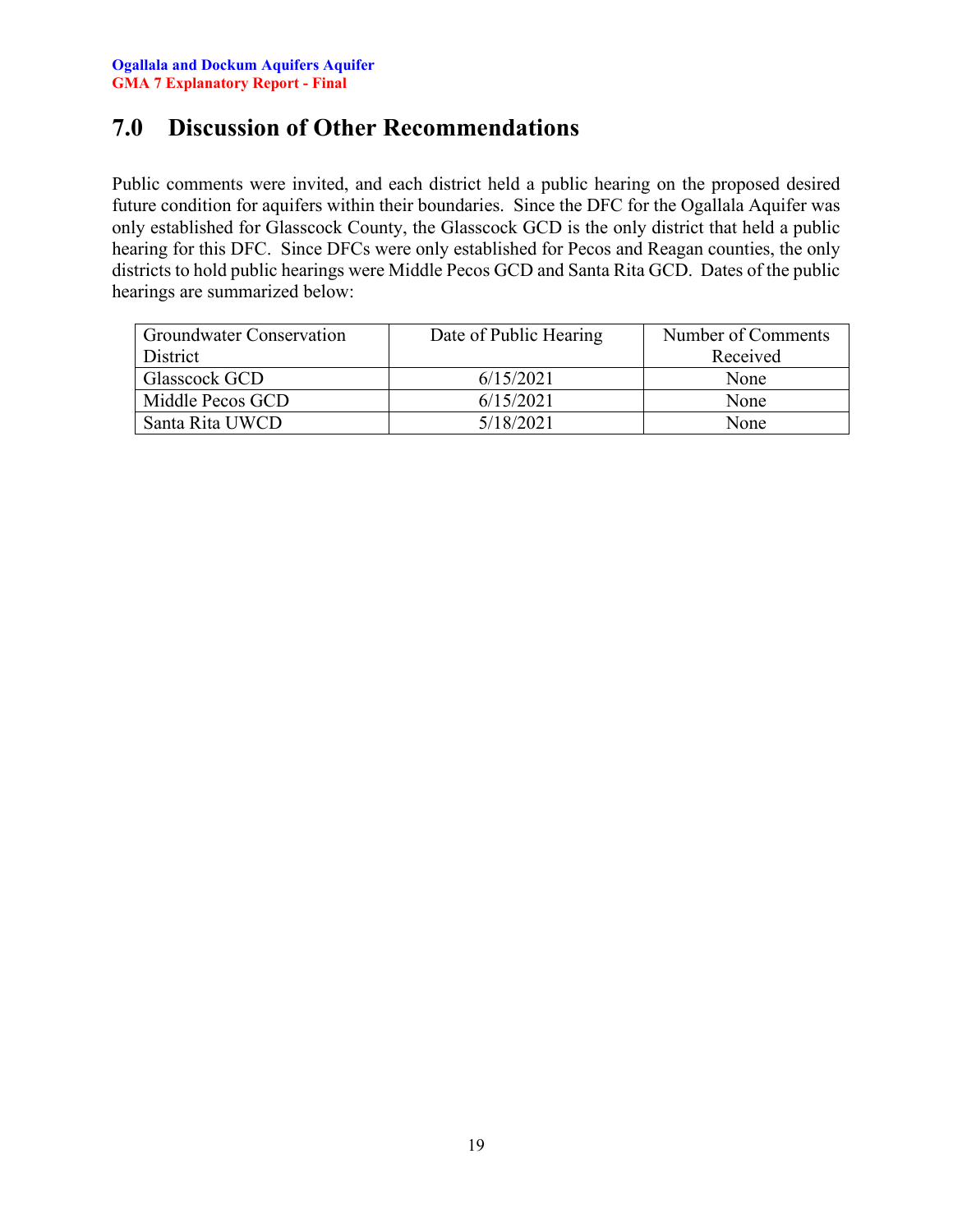### <span id="page-19-0"></span>**7.0 Discussion of Other Recommendations**

Public comments were invited, and each district held a public hearing on the proposed desired future condition for aquifers within their boundaries. Since the DFC for the Ogallala Aquifer was only established for Glasscock County, the Glasscock GCD is the only district that held a public hearing for this DFC. Since DFCs were only established for Pecos and Reagan counties, the only districts to hold public hearings were Middle Pecos GCD and Santa Rita GCD. Dates of the public hearings are summarized below:

| <b>Groundwater Conservation</b> | Date of Public Hearing | Number of Comments |
|---------------------------------|------------------------|--------------------|
| <b>District</b>                 |                        | Received           |
| Glasscock GCD                   | 6/15/2021              | None               |
| Middle Pecos GCD                | 6/15/2021              | None               |
| Santa Rita UWCD                 | 5/18/2021              | None               |